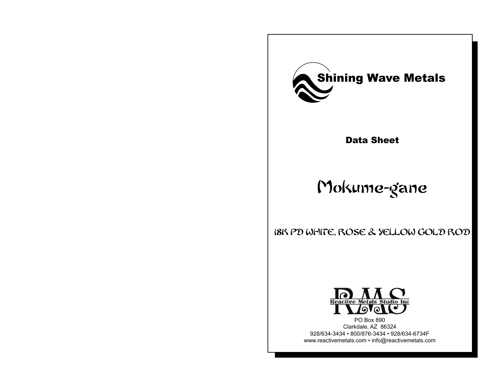

Data Sheet

# Mokume-gane

18K Pd white, rose & yellow gold ROD



PO Box 890 Clarkdale, AZ 86324 928/634-3434 • 800/876-3434 • 928/634-6734F www.reactivemetals.com • info@reactivemetals.com